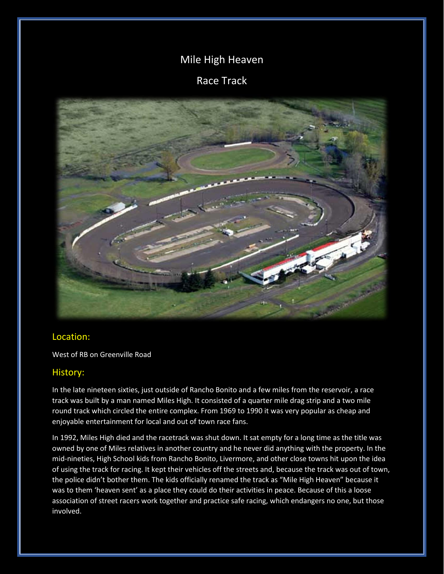## Mile High Heaven

## Race Track



## Location:

West of RB on Greenville Road

## History:

In the late nineteen sixties, just outside of Rancho Bonito and a few miles from the reservoir, a race track was built by a man named Miles High. It consisted of a quarter mile drag strip and a two mile round track which circled the entire complex. From 1969 to 1990 it was very popular as cheap and enjoyable entertainment for local and out of town race fans.

In 1992, Miles High died and the racetrack was shut down. It sat empty for a long time as the title was owned by one of Miles relatives in another country and he never did anything with the property. In the mid-nineties, High School kids from Rancho Bonito, Livermore, and other close towns hit upon the idea of using the track for racing. It kept their vehicles off the streets and, because the track was out of town, the police didn't bother them. The kids officially renamed the track as "Mile High Heaven" because it was to them 'heaven sent' as a place they could do their activities in peace. Because of this a loose association of street racers work together and practice safe racing, which endangers no one, but those involved.